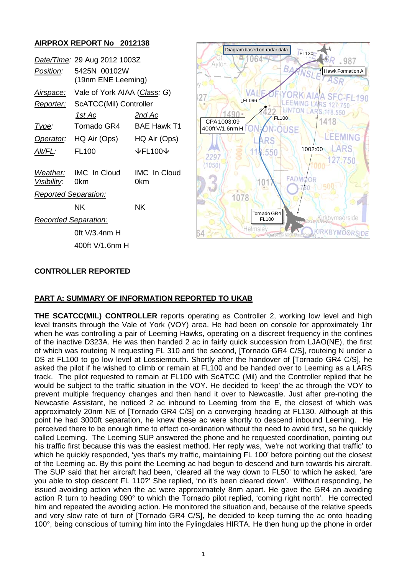# **AIRPROX REPORT No 2012138**

| Date/Time: 29 Aug 2012 1003Z |                                    |                                 |
|------------------------------|------------------------------------|---------------------------------|
| Position:                    | 5425N 00102W<br>(19nm ENE Leeming) |                                 |
| <u>Airspace:</u>             | Vale of York AIAA (Class: G)       |                                 |
| <u> Reporter:</u>            | ScATCC(Mil) Controller             |                                 |
|                              | 1st Ac                             | <u>2nd Ac</u>                   |
| Type:                        | Tornado GR4                        | <b>BAE Hawk T1</b>              |
| Operator:                    | HQ Air (Ops)                       | HQ Air (Ops)                    |
| Alt/FL:                      | FL100                              | $\downarrow$ FL100 $\downarrow$ |
| <i><b>Visibility:</b></i>    | Weather: IMC In Cloud<br>0km       | <b>IMC</b> In Cloud<br>0km      |
| <b>Reported Separation:</b>  |                                    |                                 |
|                              | ΝK                                 | NK.                             |
| <b>Recorded Separation:</b>  |                                    |                                 |
|                              | 0ft V/3.4nm H                      |                                 |
|                              | 400ft V/1.6nm H                    |                                 |



# **CONTROLLER REPORTED**

## **PART A: SUMMARY OF INFORMATION REPORTED TO UKAB**

**THE SCATCC(MIL) CONTROLLER** reports operating as Controller 2, working low level and high level transits through the Vale of York (VOY) area. He had been on console for approximately 1hr when he was controlling a pair of Leeming Hawks, operating on a discreet frequency in the confines of the inactive D323A. He was then handed 2 ac in fairly quick succession from LJAO(NE), the first of which was routeing N requesting FL 310 and the second, [Tornado GR4 C/S], routeing N under a DS at FL100 to go low level at Lossiemouth. Shortly after the handover of [Tornado GR4 C/S], he asked the pilot if he wished to climb or remain at FL100 and be handed over to Leeming as a LARS track. The pilot requested to remain at FL100 with ScATCC (Mil) and the Controller replied that he would be subject to the traffic situation in the VOY. He decided to 'keep' the ac through the VOY to prevent multiple frequency changes and then hand it over to Newcastle. Just after pre-noting the Newcastle Assistant, he noticed 2 ac inbound to Leeming from the E, the closest of which was approximately 20nm NE of [Tornado GR4 C/S] on a converging heading at FL130. Although at this point he had 3000ft separation, he knew these ac were shortly to descend inbound Leeming. He perceived there to be enough time to effect co-ordination without the need to avoid first, so he quickly called Leeming. The Leeming SUP answered the phone and he requested coordination, pointing out his traffic first because this was the easiest method. Her reply was, 'we're not working that traffic' to which he quickly responded, 'yes that's my traffic, maintaining FL 100' before pointing out the closest of the Leeming ac. By this point the Leeming ac had begun to descend and turn towards his aircraft. The SUP said that her aircraft had been, 'cleared all the way down to FL50' to which he asked, 'are you able to stop descent FL 110?' She replied, 'no it's been cleared down'. Without responding, he issued avoiding action when the ac were approximately 8nm apart. He gave the GR4 an avoiding action R turn to heading 090° to which the Tornado pilot replied, 'coming right north'. He corrected him and repeated the avoiding action. He monitored the situation and, because of the relative speeds and very slow rate of turn of [Tornado GR4 C/S], he decided to keep turning the ac onto heading 100°, being conscious of turning him into the Fylingdales HIRTA. He then hung up the phone in order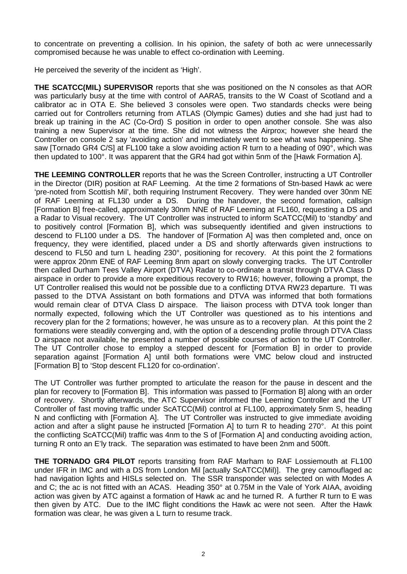to concentrate on preventing a collision. In his opinion, the safety of both ac were unnecessarily compromised because he was unable to effect co-ordination with Leeming.

He perceived the severity of the incident as 'High'.

**THE SCATCC(MIL) SUPERVISOR** reports that she was positioned on the N consoles as that AOR was particularly busy at the time with control of AARA5, transits to the W Coast of Scotland and a calibrator ac in OTA E. She believed 3 consoles were open. Two standards checks were being carried out for Controllers returning from ATLAS (Olympic Games) duties and she had just had to break up training in the AC (Co-Ord) S position in order to open another console. She was also training a new Supervisor at the time. She did not witness the Airprox; however she heard the Controller on console 2 say 'avoiding action' and immediately went to see what was happening. She saw [Tornado GR4 C/S] at FL100 take a slow avoiding action R turn to a heading of 090°, which was then updated to 100°. It was apparent that the GR4 had got within 5nm of the [Hawk Formation A].

**THE LEEMING CONTROLLER** reports that he was the Screen Controller, instructing a UT Controller in the Director (DIR) position at RAF Leeming. At the time 2 formations of Stn-based Hawk ac were 'pre-noted from Scottish Mil', both requiring Instrument Recovery. They were handed over 30nm NE of RAF Leeming at FL130 under a DS. During the handover, the second formation, callsign [Formation B] free-called, approximately 30nm NNE of RAF Leeming at FL160, requesting a DS and a Radar to Visual recovery. The UT Controller was instructed to inform ScATCC(Mil) to 'standby' and to positively control [Formation B], which was subsequently identified and given instructions to descend to FL100 under a DS. The handover of [Formation A] was then completed and, once on frequency, they were identified, placed under a DS and shortly afterwards given instructions to descend to FL50 and turn L heading 230°, positioning for recovery. At this point the 2 formations were approx 20nm ENE of RAF Leeming 8nm apart on slowly converging tracks. The UT Controller then called Durham Tees Valley Airport (DTVA) Radar to co-ordinate a transit through DTVA Class D airspace in order to provide a more expeditious recovery to RW16; however, following a prompt, the UT Controller realised this would not be possible due to a conflicting DTVA RW23 departure. TI was passed to the DTVA Assistant on both formations and DTVA was informed that both formations would remain clear of DTVA Class D airspace. The liaison process with DTVA took longer than normally expected, following which the UT Controller was questioned as to his intentions and recovery plan for the 2 formations; however, he was unsure as to a recovery plan. At this point the 2 formations were steadily converging and, with the option of a descending profile through DTVA Class D airspace not available, he presented a number of possible courses of action to the UT Controller. The UT Controller chose to employ a stepped descent for [Formation B] in order to provide separation against [Formation A] until both formations were VMC below cloud and instructed [Formation B] to 'Stop descent FL120 for co-ordination'.

The UT Controller was further prompted to articulate the reason for the pause in descent and the plan for recovery to [Formation B]. This information was passed to [Formation B] along with an order of recovery. Shortly afterwards, the ATC Supervisor informed the Leeming Controller and the UT Controller of fast moving traffic under ScATCC(Mil) control at FL100, approximately 5nm S, heading N and conflicting with [Formation A]. The UT Controller was instructed to give immediate avoiding action and after a slight pause he instructed [Formation A] to turn R to heading 270°. At this point the conflicting ScATCC(Mil) traffic was 4nm to the S of [Formation A] and conducting avoiding action, turning R onto an E'ly track. The separation was estimated to have been 2nm and 500ft.

**THE TORNADO GR4 PILOT** reports transiting from RAF Marham to RAF Lossiemouth at FL100 under IFR in IMC and with a DS from London Mil [actually ScATCC(Mil)]. The grey camouflaged ac had navigation lights and HISLs selected on. The SSR transponder was selected on with Modes A and C; the ac is not fitted with an ACAS. Heading 350° at 0.75M in the Vale of York AIAA, avoiding action was given by ATC against a formation of Hawk ac and he turned R. A further R turn to E was then given by ATC. Due to the IMC flight conditions the Hawk ac were not seen. After the Hawk formation was clear, he was given a L turn to resume track.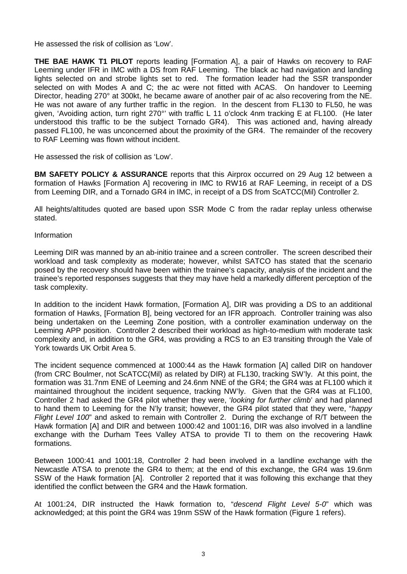He assessed the risk of collision as 'Low'.

**THE BAE HAWK T1 PILOT** reports leading [Formation A], a pair of Hawks on recovery to RAF Leeming under IFR in IMC with a DS from RAF Leeming. The black ac had navigation and landing lights selected on and strobe lights set to red. The formation leader had the SSR transponder selected on with Modes A and C; the ac were not fitted with ACAS. On handover to Leeming Director, heading 270° at 300kt, he became aware of another pair of ac also recovering from the NE. He was not aware of any further traffic in the region. In the descent from FL130 to FL50, he was given, 'Avoiding action, turn right 270°' with traffic L 11 o'clock 4nm tracking E at FL100. (He later understood this traffic to be the subject Tornado GR4). This was actioned and, having already passed FL100, he was unconcerned about the proximity of the GR4. The remainder of the recovery to RAF Leeming was flown without incident.

He assessed the risk of collision as 'Low'.

**BM SAFETY POLICY & ASSURANCE** reports that this Airprox occurred on 29 Aug 12 between a formation of Hawks [Formation A] recovering in IMC to RW16 at RAF Leeming, in receipt of a DS from Leeming DIR, and a Tornado GR4 in IMC, in receipt of a DS from ScATCC(Mil) Controller 2.

All heights/altitudes quoted are based upon SSR Mode C from the radar replay unless otherwise stated.

#### Information

Leeming DIR was manned by an ab-initio trainee and a screen controller. The screen described their workload and task complexity as moderate; however, whilst SATCO has stated that the scenario posed by the recovery should have been within the trainee's capacity, analysis of the incident and the trainee's reported responses suggests that they may have held a markedly different perception of the task complexity.

In addition to the incident Hawk formation, [Formation A], DIR was providing a DS to an additional formation of Hawks, [Formation B], being vectored for an IFR approach. Controller training was also being undertaken on the Leeming Zone position, with a controller examination underway on the Leeming APP position. Controller 2 described their workload as high-to-medium with moderate task complexity and, in addition to the GR4, was providing a RCS to an E3 transiting through the Vale of York towards UK Orbit Area 5.

The incident sequence commenced at 1000:44 as the Hawk formation [A] called DIR on handover (from CRC Boulmer, not ScATCC(Mil) as related by DIR) at FL130, tracking SW'ly. At this point, the formation was 31.7nm ENE of Leeming and 24.6nm NNE of the GR4; the GR4 was at FL100 which it maintained throughout the incident sequence, tracking NW'ly. Given that the GR4 was at FL100, Controller 2 had asked the GR4 pilot whether they were, '*looking for further climb*' and had planned to hand them to Leeming for the N'ly transit; however, the GR4 pilot stated that they were, "*happy Flight Level 100*" and asked to remain with Controller 2. During the exchange of R/T between the Hawk formation [A] and DIR and between 1000:42 and 1001:16, DIR was also involved in a landline exchange with the Durham Tees Valley ATSA to provide TI to them on the recovering Hawk formations.

Between 1000:41 and 1001:18, Controller 2 had been involved in a landline exchange with the Newcastle ATSA to prenote the GR4 to them; at the end of this exchange, the GR4 was 19.6nm SSW of the Hawk formation [A]. Controller 2 reported that it was following this exchange that they identified the conflict between the GR4 and the Hawk formation.

At 1001:24, DIR instructed the Hawk formation to, "*descend Flight Level 5-0*" which was acknowledged; at this point the GR4 was 19nm SSW of the Hawk formation (Figure 1 refers).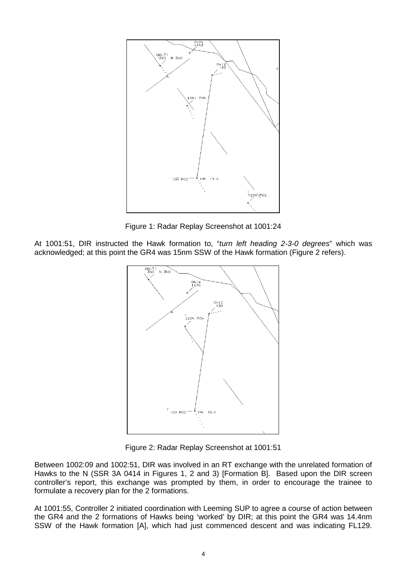

Figure 1: Radar Replay Screenshot at 1001:24

At 1001:51, DIR instructed the Hawk formation to, "*turn left heading 2-3-0 degrees*" which was acknowledged; at this point the GR4 was 15nm SSW of the Hawk formation (Figure 2 refers).



Figure 2: Radar Replay Screenshot at 1001:51

Between 1002:09 and 1002:51, DIR was involved in an RT exchange with the unrelated formation of Hawks to the N (SSR 3A 0414 in Figures 1, 2 and 3) [Formation B]. Based upon the DIR screen controller's report, this exchange was prompted by them, in order to encourage the trainee to formulate a recovery plan for the 2 formations.

At 1001:55, Controller 2 initiated coordination with Leeming SUP to agree a course of action between the GR4 and the 2 formations of Hawks being 'worked' by DIR; at this point the GR4 was 14.4nm SSW of the Hawk formation [A], which had just commenced descent and was indicating FL129.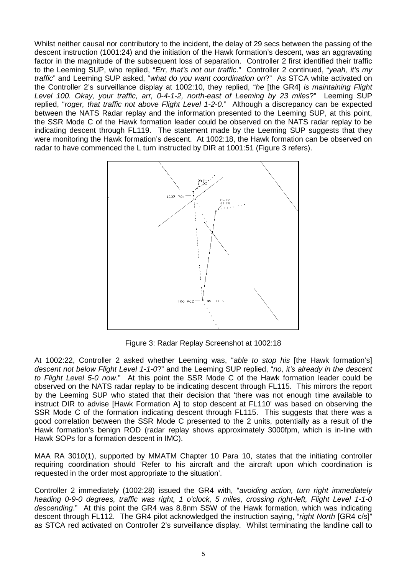Whilst neither causal nor contributory to the incident, the delay of 29 secs between the passing of the descent instruction (1001:24) and the initiation of the Hawk formation's descent, was an aggravating factor in the magnitude of the subsequent loss of separation. Controller 2 first identified their traffic to the Leeming SUP, who replied, "*Err, that's not our traffic*." Controller 2 continued, "*yeah, it's my traffic*" and Leeming SUP asked, "*what do you want coordination on*?" As STCA white activated on the Controller 2's surveillance display at 1002:10, they replied, "*he* [the GR4] *is maintaining Flight Level 100. Okay, your traffic, arr, 0-4-1-2, north-east of Leeming by 23 miles*?" Leeming SUP replied, "*roger, that traffic not above Flight Level 1-2-0*." Although a discrepancy can be expected between the NATS Radar replay and the information presented to the Leeming SUP, at this point, the SSR Mode C of the Hawk formation leader could be observed on the NATS radar replay to be indicating descent through FL119. The statement made by the Leeming SUP suggests that they were monitoring the Hawk formation's descent. At 1002:18, the Hawk formation can be observed on radar to have commenced the L turn instructed by DIR at 1001:51 (Figure 3 refers).



Figure 3: Radar Replay Screenshot at 1002:18

At 1002:22, Controller 2 asked whether Leeming was, "*able to stop his* [the Hawk formation's] *descent not below Flight Level 1-1-0*?" and the Leeming SUP replied, "*no, it's already in the descent to Flight Level 5-0 now*." At this point the SSR Mode C of the Hawk formation leader could be observed on the NATS radar replay to be indicating descent through FL115. This mirrors the report by the Leeming SUP who stated that their decision that 'there was not enough time available to instruct DIR to advise [Hawk Formation A] to stop descent at FL110' was based on observing the SSR Mode C of the formation indicating descent through FL115. This suggests that there was a good correlation between the SSR Mode C presented to the 2 units, potentially as a result of the Hawk formation's benign ROD (radar replay shows approximately 3000fpm, which is in-line with Hawk SOPs for a formation descent in IMC).

MAA RA 3010(1), supported by MMATM Chapter 10 Para 10, states that the initiating controller requiring coordination should 'Refer to his aircraft and the aircraft upon which coordination is requested in the order most appropriate to the situation'.

Controller 2 immediately (1002:28) issued the GR4 with, "*avoiding action, turn right immediately heading 0-9-0 degrees, traffic was right, 1 o'clock, 5 miles, crossing right-left, Flight Level 1-1-0 descending*." At this point the GR4 was 8.8nm SSW of the Hawk formation, which was indicating descent through FL112. The GR4 pilot acknowledged the instruction saying, "*right North* [GR4 c/s]" as STCA red activated on Controller 2's surveillance display. Whilst terminating the landline call to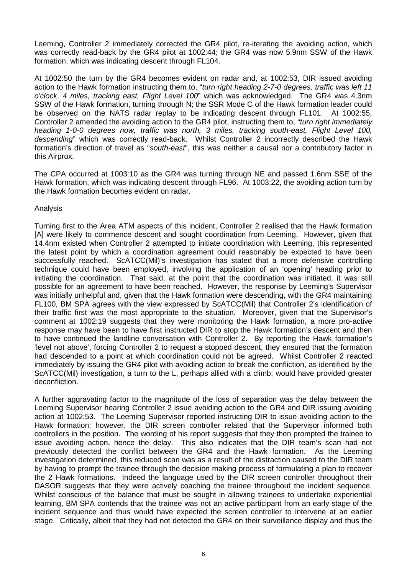Leeming, Controller 2 immediately corrected the GR4 pilot, re-iterating the avoiding action, which was correctly read-back by the GR4 pilot at 1002:44; the GR4 was now 5.9nm SSW of the Hawk formation, which was indicating descent through FL104.

At 1002:50 the turn by the GR4 becomes evident on radar and, at 1002:53, DIR issued avoiding action to the Hawk formation instructing them to, "*turn right heading 2-7-0 degrees, traffic was left 11 o'clock, 4 miles, tracking east, Flight Level 100*" which was acknowledged. The GR4 was 4.3nm SSW of the Hawk formation, turning through N; the SSR Mode C of the Hawk formation leader could be observed on the NATS radar replay to be indicating descent through FL101. At 1002:55, Controller 2 amended the avoiding action to the GR4 pilot, instructing them to, "*turn right immediately heading 1-0-0 degrees now, traffic was north, 3 miles, tracking south-east, Flight Level 100, descending*" which was correctly read-back. Whilst Controller 2 incorrectly described the Hawk formation's direction of travel as "*south-east*", this was neither a causal nor a contributory factor in this Airprox.

The CPA occurred at 1003:10 as the GR4 was turning through NE and passed 1.6nm SSE of the Hawk formation, which was indicating descent through FL96. At 1003:22, the avoiding action turn by the Hawk formation becomes evident on radar.

#### Analysis

Turning first to the Area ATM aspects of this incident, Controller 2 realised that the Hawk formation [A] were likely to commence descent and sought coordination from Leeming. However, given that 14.4nm existed when Controller 2 attempted to initiate coordination with Leeming, this represented the latest point by which a coordination agreement could reasonably be expected to have been successfully reached. ScATCC(Mil)'s investigation has stated that a more defensive controlling technique could have been employed, involving the application of an 'opening' heading prior to initiating the coordination. That said, at the point that the coordination was initiated, it was still possible for an agreement to have been reached. However, the response by Leeming's Supervisor was initially unhelpful and, given that the Hawk formation were descending, with the GR4 maintaining FL100, BM SPA agrees with the view expressed by ScATCC(Mil) that Controller 2's identification of their traffic first was the most appropriate to the situation. Moreover, given that the Supervisor's comment at 1002:19 suggests that they were monitoring the Hawk formation, a more pro-active response may have been to have first instructed DIR to stop the Hawk formation's descent and then to have continued the landline conversation with Controller 2. By reporting the Hawk formation's 'level not above', forcing Controller 2 to request a stopped descent, they ensured that the formation had descended to a point at which coordination could not be agreed. Whilst Controller 2 reacted immediately by issuing the GR4 pilot with avoiding action to break the confliction, as identified by the ScATCC(Mil) investigation, a turn to the L, perhaps allied with a climb, would have provided greater deconfliction.

A further aggravating factor to the magnitude of the loss of separation was the delay between the Leeming Supervisor hearing Controller 2 issue avoiding action to the GR4 and DIR issuing avoiding action at 1002:53. The Leeming Supervisor reported instructing DIR to issue avoiding action to the Hawk formation; however, the DIR screen controller related that the Supervisor informed both controllers in the position. The wording of his report suggests that they then prompted the trainee to issue avoiding action, hence the delay. This also indicates that the DIR team's scan had not previously detected the conflict between the GR4 and the Hawk formation. As the Leeming investigation determined, this reduced scan was as a result of the distraction caused to the DIR team by having to prompt the trainee through the decision making process of formulating a plan to recover the 2 Hawk formations. Indeed the language used by the DIR screen controller throughout their DASOR suggests that they were actively coaching the trainee throughout the incident sequence. Whilst conscious of the balance that must be sought in allowing trainees to undertake experiential learning, BM SPA contends that the trainee was not an active participant from an early stage of the incident sequence and thus would have expected the screen controller to intervene at an earlier stage. Critically, albeit that they had not detected the GR4 on their surveillance display and thus the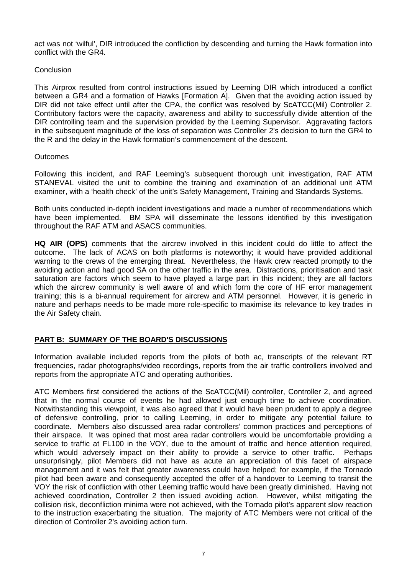act was not 'wilful', DIR introduced the confliction by descending and turning the Hawk formation into conflict with the GR4.

## Conclusion

This Airprox resulted from control instructions issued by Leeming DIR which introduced a conflict between a GR4 and a formation of Hawks [Formation A]. Given that the avoiding action issued by DIR did not take effect until after the CPA, the conflict was resolved by ScATCC(Mil) Controller 2. Contributory factors were the capacity, awareness and ability to successfully divide attention of the DIR controlling team and the supervision provided by the Leeming Supervisor. Aggravating factors in the subsequent magnitude of the loss of separation was Controller 2's decision to turn the GR4 to the R and the delay in the Hawk formation's commencement of the descent.

#### **Outcomes**

Following this incident, and RAF Leeming's subsequent thorough unit investigation, RAF ATM STANEVAL visited the unit to combine the training and examination of an additional unit ATM examiner, with a 'health check' of the unit's Safety Management, Training and Standards Systems.

Both units conducted in-depth incident investigations and made a number of recommendations which have been implemented. BM SPA will disseminate the lessons identified by this investigation throughout the RAF ATM and ASACS communities.

**HQ AIR (OPS)** comments that the aircrew involved in this incident could do little to affect the outcome. The lack of ACAS on both platforms is noteworthy; it would have provided additional warning to the crews of the emerging threat. Nevertheless, the Hawk crew reacted promptly to the avoiding action and had good SA on the other traffic in the area. Distractions, prioritisation and task saturation are factors which seem to have played a large part in this incident; they are all factors which the aircrew community is well aware of and which form the core of HF error management training; this is a bi-annual requirement for aircrew and ATM personnel. However, it is generic in nature and perhaps needs to be made more role-specific to maximise its relevance to key trades in the Air Safety chain.

## **PART B: SUMMARY OF THE BOARD'S DISCUSSIONS**

Information available included reports from the pilots of both ac, transcripts of the relevant RT frequencies, radar photographs/video recordings, reports from the air traffic controllers involved and reports from the appropriate ATC and operating authorities.

ATC Members first considered the actions of the ScATCC(Mil) controller, Controller 2, and agreed that in the normal course of events he had allowed just enough time to achieve coordination. Notwithstanding this viewpoint, it was also agreed that it would have been prudent to apply a degree of defensive controlling, prior to calling Leeming, in order to mitigate any potential failure to coordinate. Members also discussed area radar controllers' common practices and perceptions of their airspace. It was opined that most area radar controllers would be uncomfortable providing a service to traffic at FL100 in the VOY, due to the amount of traffic and hence attention required. which would adversely impact on their ability to provide a service to other traffic. Perhaps unsurprisingly, pilot Members did not have as acute an appreciation of this facet of airspace management and it was felt that greater awareness could have helped; for example, if the Tornado pilot had been aware and consequently accepted the offer of a handover to Leeming to transit the VOY the risk of confliction with other Leeming traffic would have been greatly diminished. Having not achieved coordination, Controller 2 then issued avoiding action. However, whilst mitigating the collision risk, deconfliction minima were not achieved, with the Tornado pilot's apparent slow reaction to the instruction exacerbating the situation. The majority of ATC Members were not critical of the direction of Controller 2's avoiding action turn.